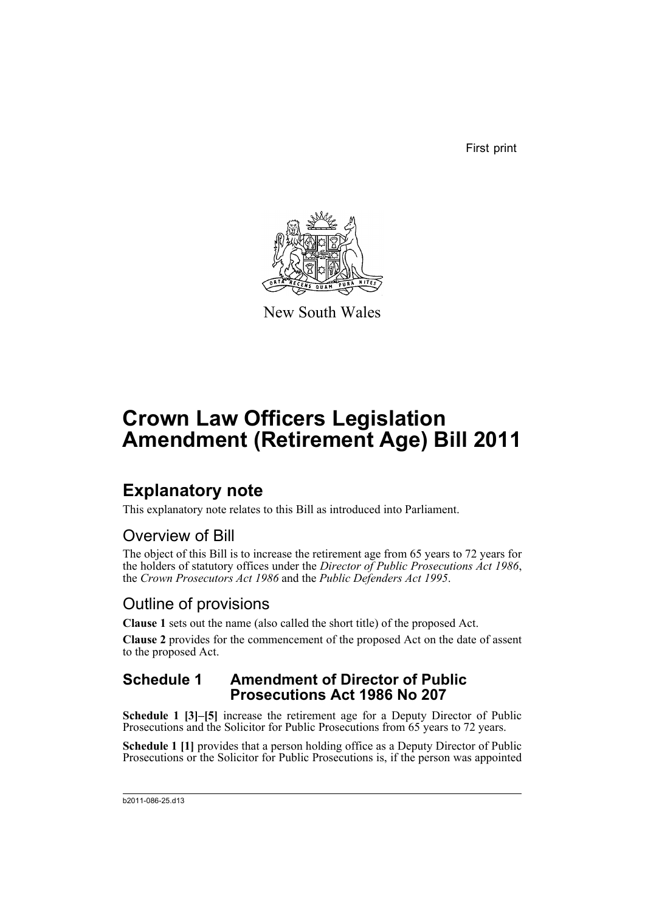First print



New South Wales

# **Crown Law Officers Legislation Amendment (Retirement Age) Bill 2011**

# **Explanatory note**

This explanatory note relates to this Bill as introduced into Parliament.

## Overview of Bill

The object of this Bill is to increase the retirement age from 65 years to 72 years for the holders of statutory offices under the *Director of Public Prosecutions Act 1986*, the *Crown Prosecutors Act 1986* and the *Public Defenders Act 1995*.

## Outline of provisions

**Clause 1** sets out the name (also called the short title) of the proposed Act.

**Clause 2** provides for the commencement of the proposed Act on the date of assent to the proposed Act.

## **Schedule 1 Amendment of Director of Public Prosecutions Act 1986 No 207**

**Schedule 1 [3]–[5]** increase the retirement age for a Deputy Director of Public Prosecutions and the Solicitor for Public Prosecutions from 65 years to 72 years.

**Schedule 1 [1]** provides that a person holding office as a Deputy Director of Public Prosecutions or the Solicitor for Public Prosecutions is, if the person was appointed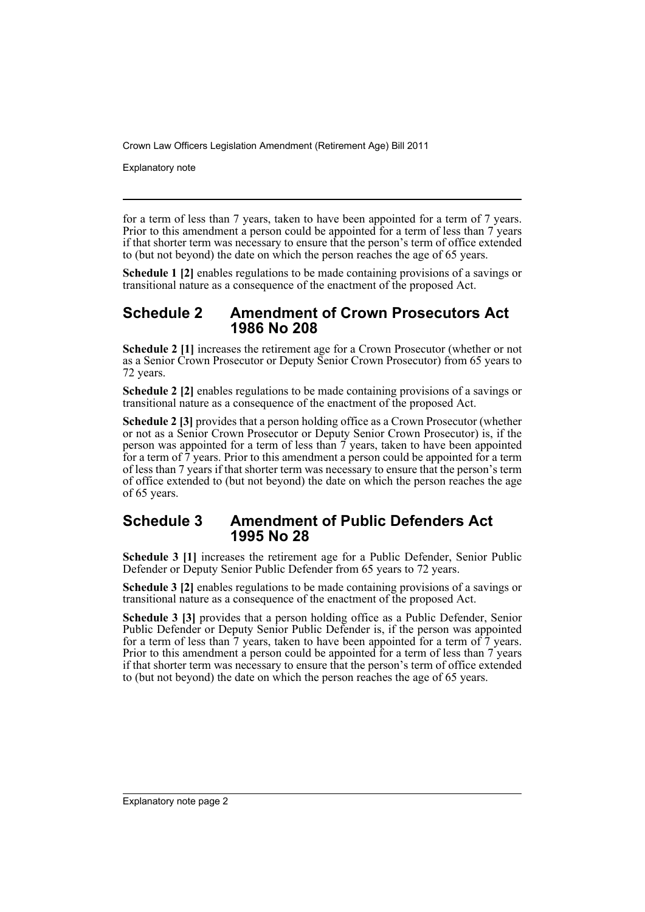Explanatory note

for a term of less than 7 years, taken to have been appointed for a term of 7 years. Prior to this amendment a person could be appointed for a term of less than 7 years if that shorter term was necessary to ensure that the person's term of office extended to (but not beyond) the date on which the person reaches the age of 65 years.

**Schedule 1 [2]** enables regulations to be made containing provisions of a savings or transitional nature as a consequence of the enactment of the proposed Act.

## **Schedule 2 Amendment of Crown Prosecutors Act 1986 No 208**

**Schedule 2 [1]** increases the retirement age for a Crown Prosecutor (whether or not as a Senior Crown Prosecutor or Deputy Senior Crown Prosecutor) from 65 years to 72 years.

**Schedule 2 [2]** enables regulations to be made containing provisions of a savings or transitional nature as a consequence of the enactment of the proposed Act.

**Schedule 2 [3]** provides that a person holding office as a Crown Prosecutor (whether or not as a Senior Crown Prosecutor or Deputy Senior Crown Prosecutor) is, if the person was appointed for a term of less than 7 years, taken to have been appointed for a term of  $\tilde{7}$  years. Prior to this amendment a person could be appointed for a term of less than 7 years if that shorter term was necessary to ensure that the person's term of office extended to (but not beyond) the date on which the person reaches the age of 65 years.

## **Schedule 3 Amendment of Public Defenders Act 1995 No 28**

**Schedule 3 [1]** increases the retirement age for a Public Defender, Senior Public Defender or Deputy Senior Public Defender from 65 years to 72 years.

**Schedule 3 [2]** enables regulations to be made containing provisions of a savings or transitional nature as a consequence of the enactment of the proposed Act.

**Schedule 3 [3]** provides that a person holding office as a Public Defender, Senior Public Defender or Deputy Senior Public Defender is, if the person was appointed for a term of less than  $\overline{7}$  years, taken to have been appointed for a term of  $\overline{7}$  years. Prior to this amendment a person could be appointed for a term of less than 7 years if that shorter term was necessary to ensure that the person's term of office extended to (but not beyond) the date on which the person reaches the age of 65 years.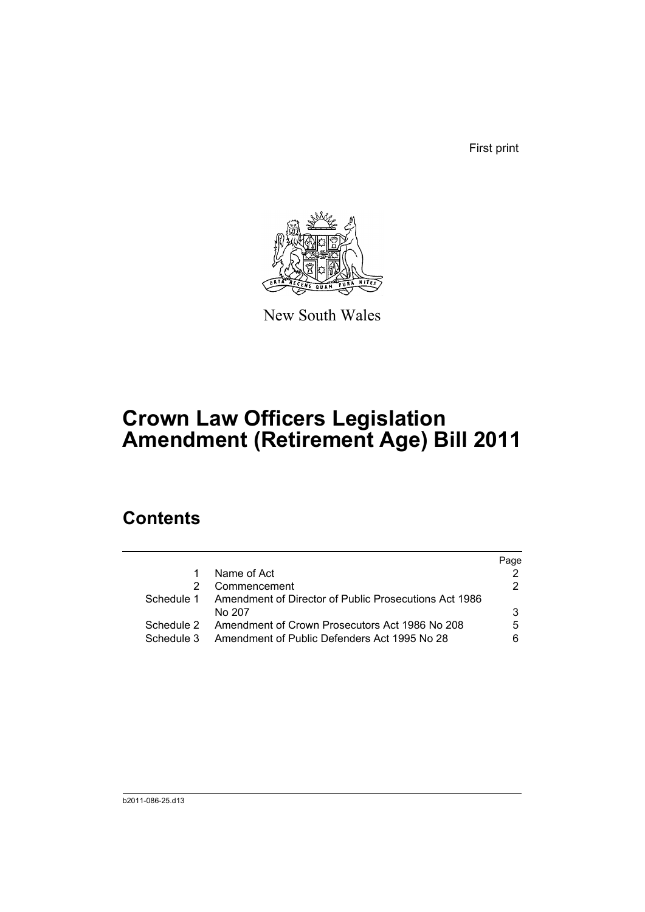First print



New South Wales

# **Crown Law Officers Legislation Amendment (Retirement Age) Bill 2011**

## **Contents**

|            |                                                       | Paqe |
|------------|-------------------------------------------------------|------|
|            | Name of Act                                           |      |
| 2          | Commencement                                          | 2.   |
| Schedule 1 | Amendment of Director of Public Prosecutions Act 1986 |      |
|            | No 207                                                | 3    |
| Schedule 2 | Amendment of Crown Prosecutors Act 1986 No 208        | 5    |
| Schedule 3 | Amendment of Public Defenders Act 1995 No 28          | ิค   |
|            |                                                       |      |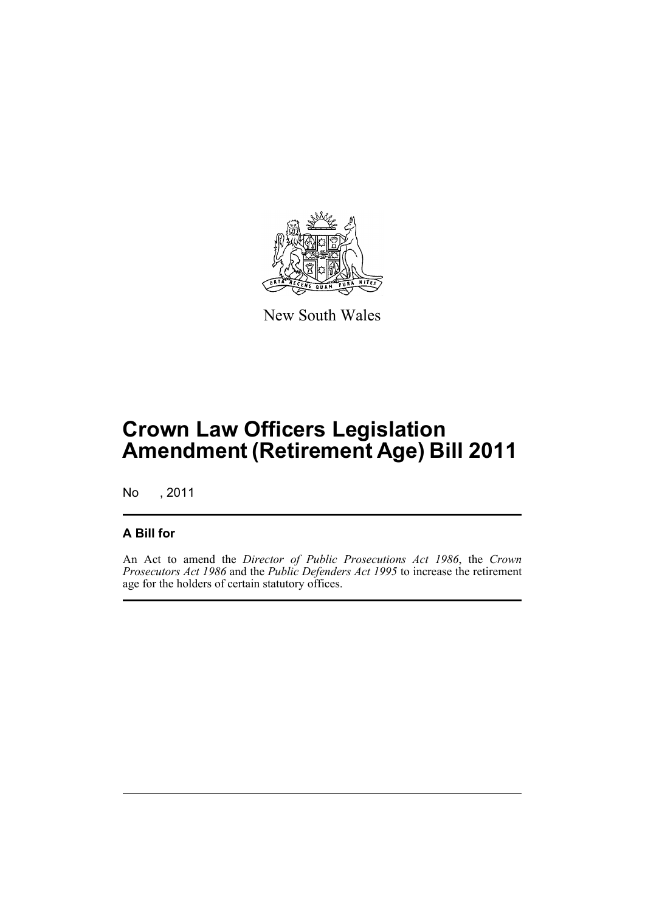

New South Wales

# **Crown Law Officers Legislation Amendment (Retirement Age) Bill 2011**

No , 2011

## **A Bill for**

An Act to amend the *Director of Public Prosecutions Act 1986*, the *Crown Prosecutors Act 1986* and the *Public Defenders Act 1995* to increase the retirement age for the holders of certain statutory offices.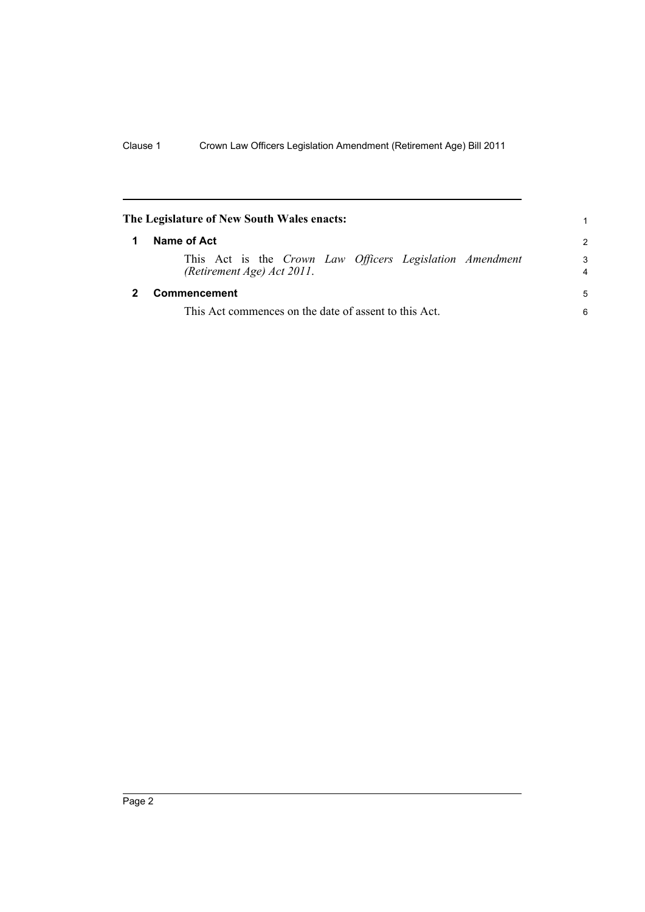<span id="page-5-1"></span><span id="page-5-0"></span>

| The Legislature of New South Wales enacts: |                                                                                        | 1             |
|--------------------------------------------|----------------------------------------------------------------------------------------|---------------|
|                                            | Name of Act                                                                            | $\mathcal{P}$ |
|                                            | This Act is the Crown Law Officers Legislation Amendment<br>(Retirement Age) Act 2011. | 3<br>4        |
|                                            | Commencement                                                                           | 5             |
|                                            | This Act commences on the date of assent to this Act.                                  |               |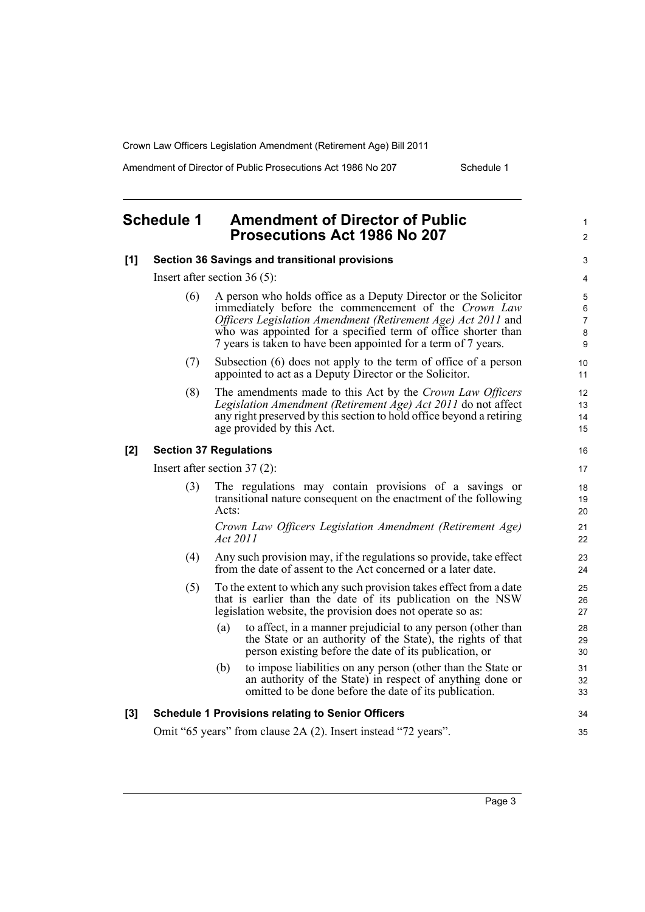Amendment of Director of Public Prosecutions Act 1986 No 207 Schedule 1

**[1] Section 36 Savings and transitional provisions**

### <span id="page-6-0"></span>**Schedule 1 Amendment of Director of Public Prosecutions Act 1986 No 207**

3 4 5

34 35

1  $\mathfrak{p}$ 

#### (6) A person who holds office as a Deputy Director or the Solicitor immediately before the commencement of the *Crown Law Officers Legislation Amendment (Retirement Age) Act 2011* and who was appointed for a specified term of office shorter than 7 years is taken to have been appointed for a term of 7 years.

- (7) Subsection (6) does not apply to the term of office of a person appointed to act as a Deputy Director or the Solicitor.
- (8) The amendments made to this Act by the *Crown Law Officers Legislation Amendment (Retirement Age) Act 2011* do not affect any right preserved by this section to hold office beyond a retiring age provided by this Act.

#### **[2] Section 37 Regulations**

Insert after section 37 (2):

Insert after section 36 (5):

(3) The regulations may contain provisions of a savings or transitional nature consequent on the enactment of the following Acts:

*Crown Law Officers Legislation Amendment (Retirement Age) Act 2011*

- (4) Any such provision may, if the regulations so provide, take effect from the date of assent to the Act concerned or a later date.
- (5) To the extent to which any such provision takes effect from a date that is earlier than the date of its publication on the NSW legislation website, the provision does not operate so as:
	- (a) to affect, in a manner prejudicial to any person (other than the State or an authority of the State), the rights of that person existing before the date of its publication, or
	- (b) to impose liabilities on any person (other than the State or an authority of the State) in respect of anything done or omitted to be done before the date of its publication.

#### **[3] Schedule 1 Provisions relating to Senior Officers**

Omit "65 years" from clause 2A (2). Insert instead "72 years".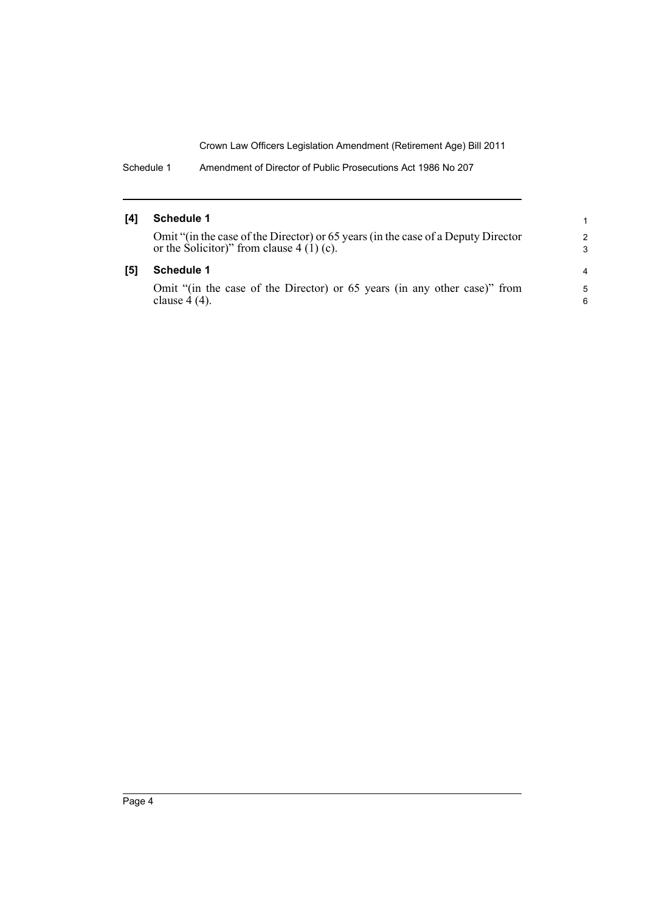Schedule 1 Amendment of Director of Public Prosecutions Act 1986 No 207

| [4] | Schedule 1                                                                                                                      |  |
|-----|---------------------------------------------------------------------------------------------------------------------------------|--|
|     | Omit "(in the case of the Director) or 65 years (in the case of a Deputy Director<br>or the Solicitor)" from clause $4(1)(c)$ . |  |
|     | Schedule 1                                                                                                                      |  |
| [5] |                                                                                                                                 |  |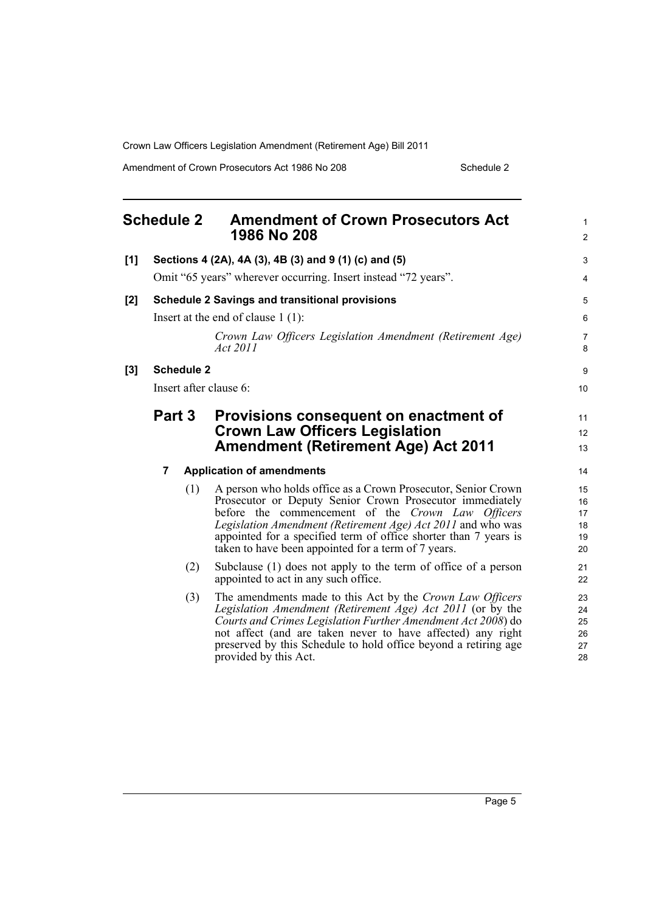Amendment of Crown Prosecutors Act 1986 No 208 Schedule 2

<span id="page-8-0"></span>

|       | <b>Schedule 2</b>                                     | <b>Amendment of Crown Prosecutors Act</b><br>1986 No 208                                                                                                                                                                                                                                                                                                                 | $\mathbf{1}$<br>2                |
|-------|-------------------------------------------------------|--------------------------------------------------------------------------------------------------------------------------------------------------------------------------------------------------------------------------------------------------------------------------------------------------------------------------------------------------------------------------|----------------------------------|
| [1]   |                                                       | Sections 4 (2A), 4A (3), 4B (3) and 9 (1) (c) and (5)                                                                                                                                                                                                                                                                                                                    | 3                                |
|       |                                                       | Omit "65 years" wherever occurring. Insert instead "72 years".                                                                                                                                                                                                                                                                                                           | $\overline{4}$                   |
| $[2]$ | <b>Schedule 2 Savings and transitional provisions</b> |                                                                                                                                                                                                                                                                                                                                                                          | 5                                |
|       |                                                       | Insert at the end of clause $1(1)$ :                                                                                                                                                                                                                                                                                                                                     | 6                                |
|       |                                                       | Crown Law Officers Legislation Amendment (Retirement Age)<br>Act 2011                                                                                                                                                                                                                                                                                                    | $\overline{7}$<br>8              |
| [3]   | <b>Schedule 2</b>                                     |                                                                                                                                                                                                                                                                                                                                                                          | 9                                |
|       | Insert after clause 6:                                |                                                                                                                                                                                                                                                                                                                                                                          | 10                               |
|       | Part 3                                                | Provisions consequent on enactment of<br><b>Crown Law Officers Legislation</b><br><b>Amendment (Retirement Age) Act 2011</b>                                                                                                                                                                                                                                             | 11<br>12<br>13                   |
|       | $\overline{7}$                                        | <b>Application of amendments</b>                                                                                                                                                                                                                                                                                                                                         | 14                               |
|       | (1)                                                   | A person who holds office as a Crown Prosecutor, Senior Crown<br>Prosecutor or Deputy Senior Crown Prosecutor immediately<br>before the commencement of the Crown Law Officers<br>Legislation Amendment (Retirement Age) Act 2011 and who was<br>appointed for a specified term of office shorter than 7 years is<br>taken to have been appointed for a term of 7 years. | 15<br>16<br>17<br>18<br>19<br>20 |
|       | (2)                                                   | Subclause (1) does not apply to the term of office of a person<br>appointed to act in any such office.                                                                                                                                                                                                                                                                   | 21<br>22                         |
|       | (3)                                                   | The amendments made to this Act by the Crown Law Officers<br>Legislation Amendment (Retirement Age) Act 2011 (or by the<br>Courts and Crimes Legislation Further Amendment Act 2008) do<br>not affect (and are taken never to have affected) any right<br>preserved by this Schedule to hold office beyond a retiring age<br>provided by this Act.                       | 23<br>24<br>25<br>26<br>27<br>28 |